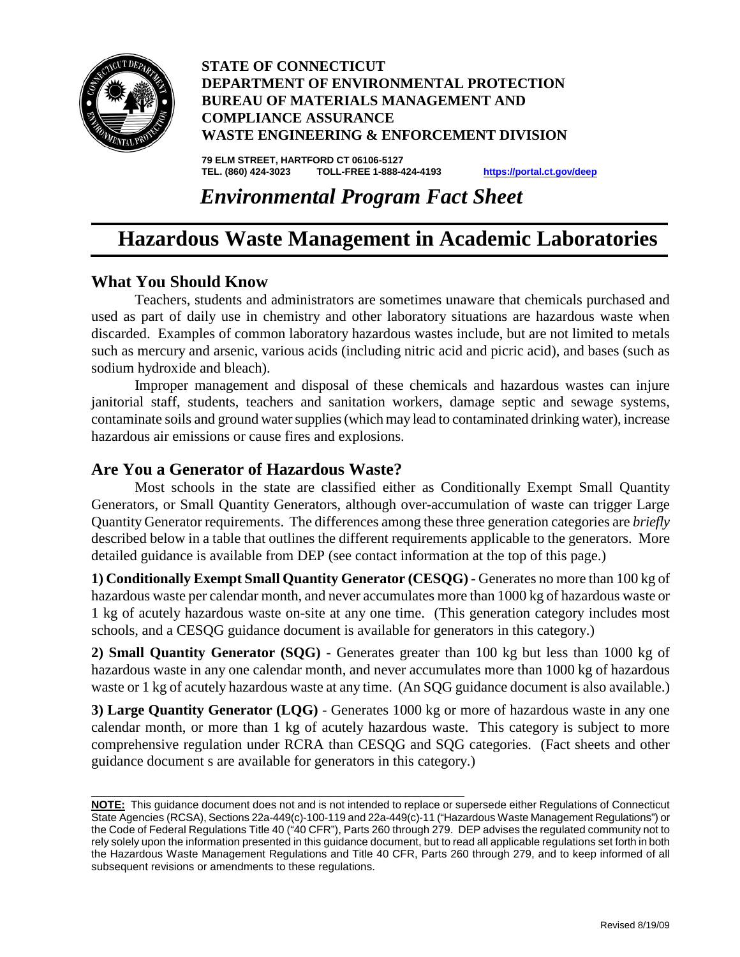

#### **STATE OF CONNECTICUT DEPARTMENT OF ENVIRONMENTAL PROTECTION BUREAU OF MATERIALS MANAGEMENT AND COMPLIANCE ASSURANCE WASTE ENGINEERING & ENFORCEMENT DIVISION**

**79 ELM STREET, HARTFORD CT 06106-5127 TEL. (860) 424-3023 TOLL-FREE 1-888-424-4193 <https://portal.ct.gov/deep>** 

# *Environmental Program Fact Sheet*

# **Hazardous Waste Management in Academic Laboratories**

#### **What You Should Know**

Teachers, students and administrators are sometimes unaware that chemicals purchased and used as part of daily use in chemistry and other laboratory situations are hazardous waste when discarded. Examples of common laboratory hazardous wastes include, but are not limited to metals such as mercury and arsenic, various acids (including nitric acid and picric acid), and bases (such as sodium hydroxide and bleach).

Improper management and disposal of these chemicals and hazardous wastes can injure janitorial staff, students, teachers and sanitation workers, damage septic and sewage systems, contaminate soils and ground water supplies (which may lead to contaminated drinking water), increase hazardous air emissions or cause fires and explosions.

#### **Are You a Generator of Hazardous Waste?**

\_\_\_\_\_\_\_\_\_\_\_\_\_\_\_\_\_\_\_\_\_\_\_\_\_\_\_\_\_\_\_\_\_\_\_\_\_\_\_\_\_\_\_\_\_\_\_\_\_\_\_\_\_\_\_\_\_\_\_\_\_\_\_\_\_\_\_\_\_\_\_\_\_\_\_\_\_\_

Most schools in the state are classified either as Conditionally Exempt Small Quantity Generators, or Small Quantity Generators, although over-accumulation of waste can trigger Large Quantity Generator requirements. The differences among these three generation categories are *briefly* described below in a table that outlines the different requirements applicable to the generators. More detailed guidance is available from DEP (see contact information at the top of this page.)

**1) Conditionally Exempt Small Quantity Generator (CESQG)** - Generates no more than 100 kg of hazardous waste per calendar month, and never accumulates more than 1000 kg of hazardous waste or 1 kg of acutely hazardous waste on-site at any one time. (This generation category includes most schools, and a CESQG guidance document is available for generators in this category.)

**2) Small Quantity Generator (SQG)** - Generates greater than 100 kg but less than 1000 kg of hazardous waste in any one calendar month, and never accumulates more than 1000 kg of hazardous waste or 1 kg of acutely hazardous waste at any time. (An SQG guidance document is also available.)

**3) Large Quantity Generator (LQG)** - Generates 1000 kg or more of hazardous waste in any one calendar month, or more than 1 kg of acutely hazardous waste. This category is subject to more comprehensive regulation under RCRA than CESQG and SQG categories. (Fact sheets and other guidance document s are available for generators in this category.)

**NOTE:** This guidance document does not and is not intended to replace or supersede either Regulations of Connecticut State Agencies (RCSA), Sections 22a-449(c)-100-119 and 22a-449(c)-11 ("Hazardous Waste Management Regulations") or the Code of Federal Regulations Title 40 ("40 CFR"), Parts 260 through 279. DEP advises the regulated community not to rely solely upon the information presented in this guidance document, but to read all applicable regulations set forth in both the Hazardous Waste Management Regulations and Title 40 CFR, Parts 260 through 279, and to keep informed of all subsequent revisions or amendments to these regulations.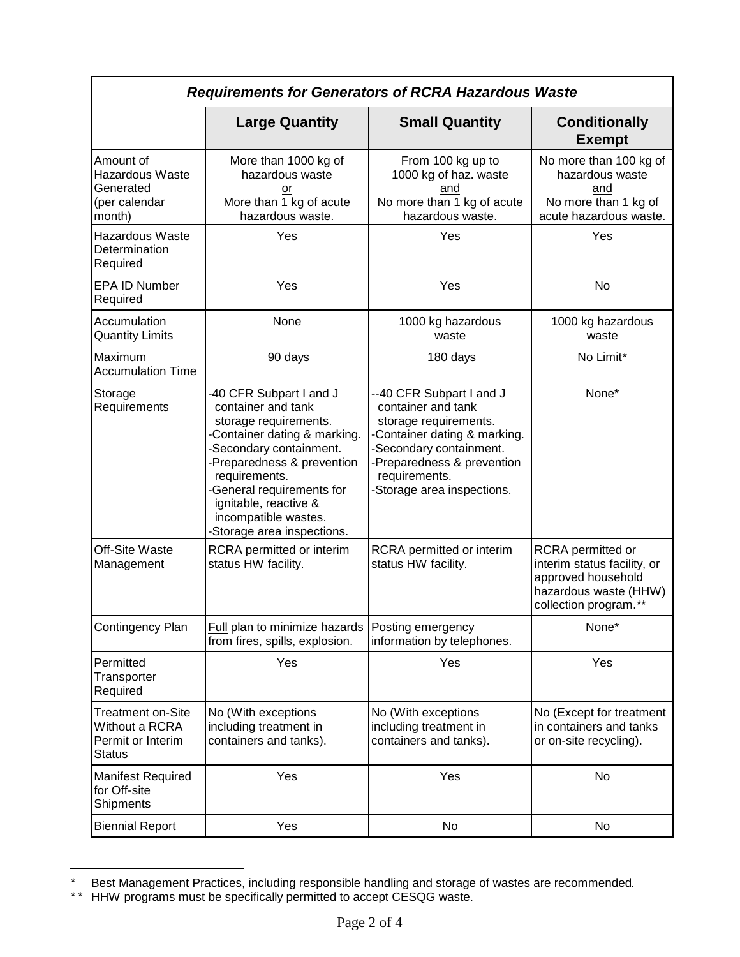| <b>Requirements for Generators of RCRA Hazardous Waste</b>                       |                                                                                                                                                                                                                                                                                            |                                                                                                                                                                                                                 |                                                                                                                          |  |
|----------------------------------------------------------------------------------|--------------------------------------------------------------------------------------------------------------------------------------------------------------------------------------------------------------------------------------------------------------------------------------------|-----------------------------------------------------------------------------------------------------------------------------------------------------------------------------------------------------------------|--------------------------------------------------------------------------------------------------------------------------|--|
|                                                                                  | <b>Large Quantity</b>                                                                                                                                                                                                                                                                      | <b>Small Quantity</b>                                                                                                                                                                                           | <b>Conditionally</b><br><b>Exempt</b>                                                                                    |  |
| Amount of<br><b>Hazardous Waste</b><br>Generated<br>(per calendar<br>month)      | More than 1000 kg of<br>hazardous waste<br>or<br>More than 1 kg of acute<br>hazardous waste.                                                                                                                                                                                               | From 100 kg up to<br>1000 kg of haz. waste<br>and<br>No more than 1 kg of acute<br>hazardous waste.                                                                                                             | No more than 100 kg of<br>hazardous waste<br>and<br>No more than 1 kg of<br>acute hazardous waste.                       |  |
| <b>Hazardous Waste</b><br>Determination<br>Required                              | Yes                                                                                                                                                                                                                                                                                        | Yes                                                                                                                                                                                                             | Yes                                                                                                                      |  |
| <b>EPA ID Number</b><br>Required                                                 | Yes                                                                                                                                                                                                                                                                                        | Yes                                                                                                                                                                                                             | No                                                                                                                       |  |
| Accumulation<br><b>Quantity Limits</b>                                           | None                                                                                                                                                                                                                                                                                       | 1000 kg hazardous<br>waste                                                                                                                                                                                      | 1000 kg hazardous<br>waste                                                                                               |  |
| Maximum<br><b>Accumulation Time</b>                                              | 90 days                                                                                                                                                                                                                                                                                    | 180 days                                                                                                                                                                                                        | No Limit*                                                                                                                |  |
| Storage<br>Requirements                                                          | -40 CFR Subpart I and J<br>container and tank<br>storage requirements.<br>Container dating & marking.<br>-Secondary containment.<br>-Preparedness & prevention<br>requirements.<br>-General requirements for<br>ignitable, reactive &<br>incompatible wastes.<br>Storage area inspections. | --40 CFR Subpart I and J<br>container and tank<br>storage requirements.<br>-Container dating & marking.<br>-Secondary containment.<br>-Preparedness & prevention<br>requirements.<br>-Storage area inspections. | None*                                                                                                                    |  |
| Off-Site Waste<br>Management                                                     | RCRA permitted or interim<br>status HW facility.                                                                                                                                                                                                                                           | RCRA permitted or interim<br>status HW facility.                                                                                                                                                                | RCRA permitted or<br>interim status facility, or<br>approved household<br>hazardous waste (HHW)<br>collection program.** |  |
| Contingency Plan                                                                 | Full plan to minimize hazards<br>from fires, spills, explosion.                                                                                                                                                                                                                            | Posting emergency<br>information by telephones.                                                                                                                                                                 | None*                                                                                                                    |  |
| Permitted<br>Transporter<br>Required                                             | Yes                                                                                                                                                                                                                                                                                        | Yes                                                                                                                                                                                                             | Yes                                                                                                                      |  |
| <b>Treatment on-Site</b><br>Without a RCRA<br>Permit or Interim<br><b>Status</b> | No (With exceptions<br>including treatment in<br>containers and tanks).                                                                                                                                                                                                                    | No (With exceptions<br>including treatment in<br>containers and tanks).                                                                                                                                         | No (Except for treatment<br>in containers and tanks<br>or on-site recycling).                                            |  |
| <b>Manifest Required</b><br>for Off-site<br>Shipments                            | Yes                                                                                                                                                                                                                                                                                        | Yes                                                                                                                                                                                                             | No                                                                                                                       |  |
| <b>Biennial Report</b>                                                           | Yes                                                                                                                                                                                                                                                                                        | No                                                                                                                                                                                                              | No                                                                                                                       |  |

<span id="page-1-0"></span>ī \* Best Management Practices, including responsible handling and storage of wastes are recommended*.*

<span id="page-1-1"></span><sup>\*\*</sup> HHW programs must be specifically permitted to accept CESQG waste.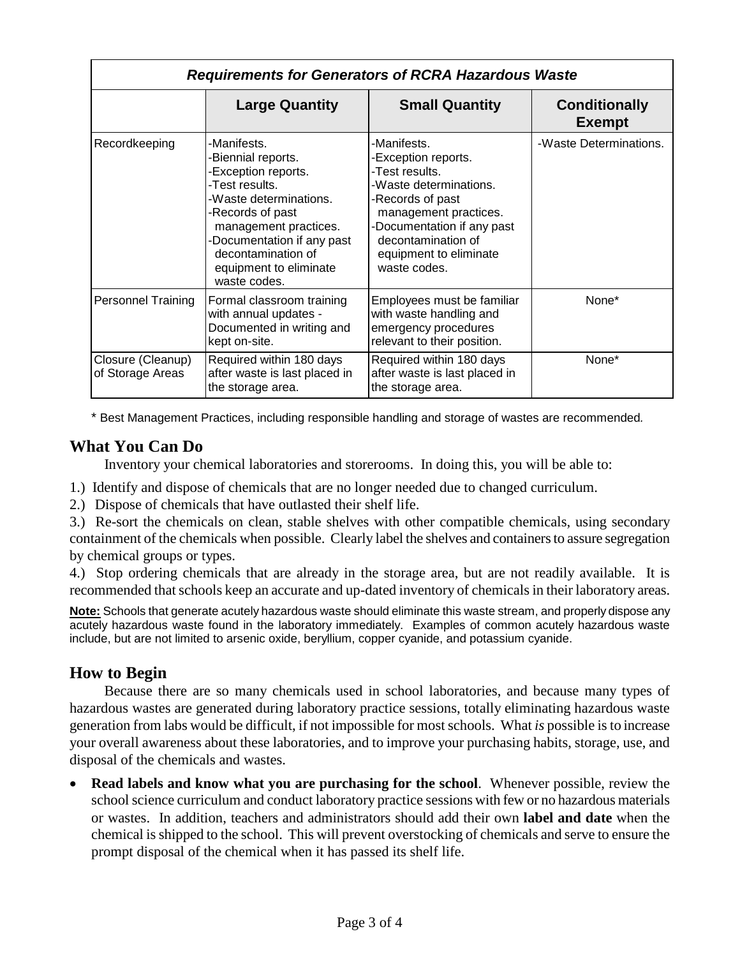| <b>Requirements for Generators of RCRA Hazardous Waste</b> |                                                                                                                                                                                                                                                 |                                                                                                                                                                                                                           |                                       |  |
|------------------------------------------------------------|-------------------------------------------------------------------------------------------------------------------------------------------------------------------------------------------------------------------------------------------------|---------------------------------------------------------------------------------------------------------------------------------------------------------------------------------------------------------------------------|---------------------------------------|--|
|                                                            | <b>Large Quantity</b>                                                                                                                                                                                                                           | <b>Small Quantity</b>                                                                                                                                                                                                     | <b>Conditionally</b><br><b>Exempt</b> |  |
| Recordkeeping                                              | -Manifests.<br>-Biennial reports.<br>-Exception reports.<br>-Test results.<br>-Waste determinations.<br>-Records of past<br>management practices.<br>-Documentation if any past<br>decontamination of<br>equipment to eliminate<br>waste codes. | -Manifests.<br>-Exception reports.<br>-Test results.<br>-Waste determinations.<br>-Records of past<br>management practices.<br>-Documentation if any past<br>decontamination of<br>equipment to eliminate<br>waste codes. | -Waste Determinations.                |  |
| <b>Personnel Training</b>                                  | Formal classroom training<br>with annual updates -<br>Documented in writing and<br>kept on-site.                                                                                                                                                | Employees must be familiar<br>with waste handling and<br>emergency procedures<br>relevant to their position.                                                                                                              | None*                                 |  |
| Closure (Cleanup)<br>of Storage Areas                      | Required within 180 days<br>after waste is last placed in<br>the storage area.                                                                                                                                                                  | Required within 180 days<br>after waste is last placed in<br>the storage area.                                                                                                                                            | None*                                 |  |

\* Best Management Practices, including responsible handling and storage of wastes are recommended*.*

## **What You Can Do**

Inventory your chemical laboratories and storerooms. In doing this, you will be able to:

1.) Identify and dispose of chemicals that are no longer needed due to changed curriculum.

2.) Dispose of chemicals that have outlasted their shelf life.

3.) Re-sort the chemicals on clean, stable shelves with other compatible chemicals, using secondary containment of the chemicals when possible. Clearly label the shelves and containers to assure segregation by chemical groups or types.

4.) Stop ordering chemicals that are already in the storage area, but are not readily available. It is recommended that schools keep an accurate and up-dated inventory of chemicals in their laboratory areas.

**Note:** Schools that generate acutely hazardous waste should eliminate this waste stream, and properly dispose any acutely hazardous waste found in the laboratory immediately.Examples of common acutely hazardous waste include, but are not limited to arsenic oxide, beryllium, copper cyanide, and potassium cyanide.

### **How to Begin**

Because there are so many chemicals used in school laboratories, and because many types of hazardous wastes are generated during laboratory practice sessions, totally eliminating hazardous waste generation from labs would be difficult, if not impossible for most schools. What *is* possible is to increase your overall awareness about these laboratories, and to improve your purchasing habits, storage, use, and disposal of the chemicals and wastes.

• **Read labels and know what you are purchasing for the school**. Whenever possible, review the school science curriculum and conduct laboratory practice sessions with few or no hazardous materials or wastes. In addition, teachers and administrators should add their own **label and date** when the chemical is shipped to the school. This will prevent overstocking of chemicals and serve to ensure the prompt disposal of the chemical when it has passed its shelf life.